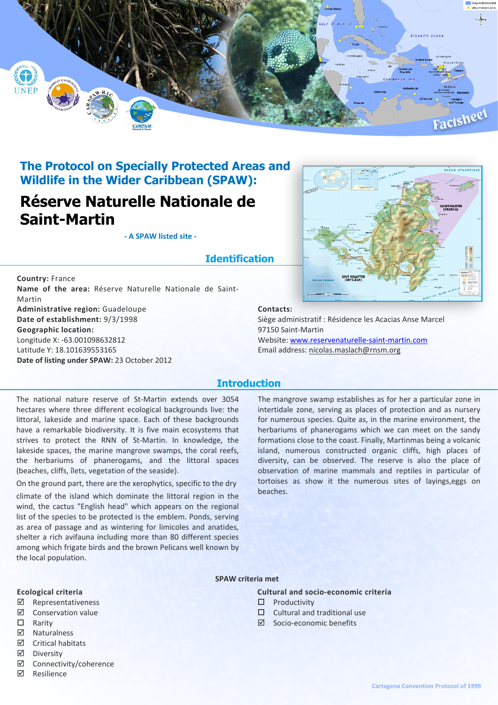

# **The Protocol on Specially Protected Areas and Wildlife in the Wider Caribbean (SPAW):**

# **Réserve Naturelle Nationale de Saint-Martin**

**- A SPAW listed site -**

# **Identification**

**Country:** France **Name of the area:** Réserve Naturelle Nationale de Saint-Martin **Administrative region:** Guadeloupe **Date of establishment:** 9/3/1998 **Geographic location:** Longitude X: -63.001098632812 Latitude Y: 18.101639553165 **Date of listing under SPAW:** 23 October 2012



#### **Contacts:**

Siège administratif : Résidence les Acacias Anse Marcel 97150 Saint-Martin Website: [www.reservenaturelle-saint-martin.com](http://www.reservenaturelle-saint-martin.com) Email address: nicolas.maslach@rnsm.org

## **Introduction**

The national nature reserve of St-Martin extends over 3054 hectares where three different ecological backgrounds live: the littoral, lakeside and marine space. Each of these backgrounds have a remarkable biodiversity. It is five main ecosystems that strives to protect the RNN of St-Martin. In knowledge, the lakeside spaces, the marine mangrove swamps, the coral reefs, the herbariums of phanerogams, and the littoral spaces (beaches, cliffs, îlets, vegetation of the seaside).

On the ground part, there are the xerophytics, specific to the dry climate of the island which dominate the littoral region in the wind, the cactus "English head" which appears on the regional list of the species to be protected is the emblem. Ponds, serving as area of passage and as wintering for limicoles and anatides, shelter a rich avifauna including more than 80 different species among which frigate birds and the brown Pelicans well known by the local population.

The mangrove swamp establishes as for her a particular zone in intertidale zone, serving as places of protection and as nursery for numerous species. Quite as, in the marine environment, the herbariums of phanerogams which we can meet on the sandy formations close to the coast. Finally, Martinmas being a volcanic island, numerous constructed organic cliffs, high places of diversity, can be observed. The reserve is also the place of observation of marine mammals and reptiles in particular of tortoises as show it the numerous sites of layings,eggs on beaches.

#### **SPAW criteria met**

**Cultural and socio-economic criteria**

- $\square$  Productivity
- $\Box$  Cultural and traditional use
- ˛ Socio-economic benefits
- **Ecological criteria**
- ˛ Representativeness
- ˛ Conservation value
- $\square$  Rarity
- ˛ Naturalness
- $\boxtimes$  Critical habitats
- ˛ Diversity
- ˛ Connectivity/coherence
- ˛ Resilience